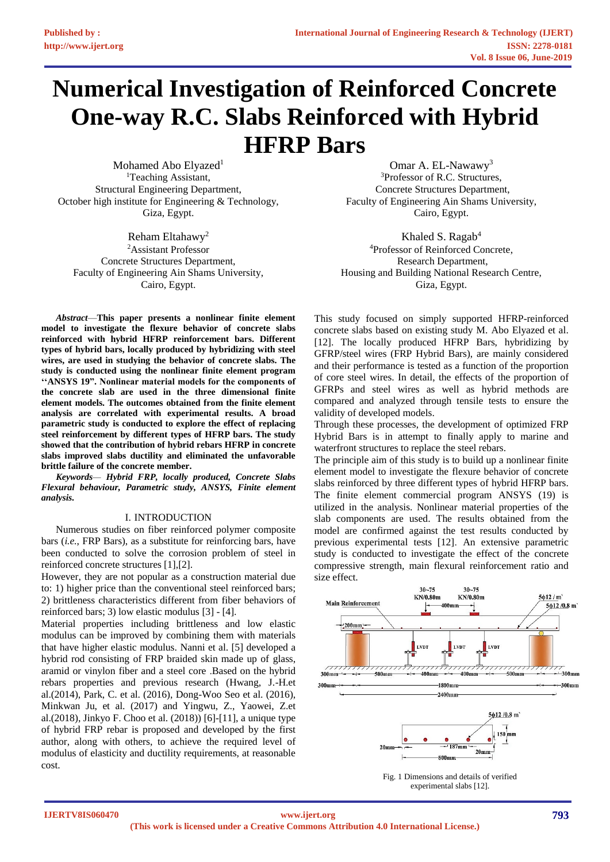# **Numerical Investigation of Reinforced Concrete One-way R.C. Slabs Reinforced with Hybrid HFRP Bars**

Mohamed Abo Elyazed<sup>1</sup> <sup>1</sup>Teaching Assistant, Structural Engineering Department, October high institute for Engineering & Technology, Giza, Egypt.

Reham Eltahawy<sup>2</sup> <sup>2</sup>Assistant Professor Concrete Structures Department, Faculty of Engineering Ain Shams University, Cairo, Egypt.

*Abstract*—**This paper presents a nonlinear finite element model to investigate the flexure behavior of concrete slabs reinforced with hybrid HFRP reinforcement bars. Different types of hybrid bars, locally produced by hybridizing with steel wires, are used in studying the behavior of concrete slabs. The study is conducted using the nonlinear finite element program ''ANSYS 19". Nonlinear material models for the components of the concrete slab are used in the three dimensional finite element models. The outcomes obtained from the finite element analysis are correlated with experimental results. A broad parametric study is conducted to explore the effect of replacing steel reinforcement by different types of HFRP bars. The study showed that the contribution of hybrid rebars HFRP in concrete slabs improved slabs ductility and eliminated the unfavorable brittle failure of the concrete member.**

*Keywords— Hybrid FRP, locally produced, Concrete Slabs Flexural behaviour, Parametric study, ANSYS, Finite element analysis.*

## I. INTRODUCTION

Numerous studies on fiber reinforced polymer composite bars (*i.e.*, FRP Bars), as a substitute for reinforcing bars, have been conducted to solve the corrosion problem of steel in reinforced concrete structures [1],[2].

However, they are not popular as a construction material due to: 1) higher price than the conventional steel reinforced bars; 2) brittleness characteristics different from fiber behaviors of reinforced bars; 3) low elastic modulus [3] - [4].

Material properties including brittleness and low elastic modulus can be improved by combining them with materials that have higher elastic modulus. Nanni et al. [5] developed a hybrid rod consisting of FRP braided skin made up of glass, aramid or vinylon fiber and a steel core .Based on the hybrid rebars properties and previous research (Hwang, J.-H.et al.(2014), Park, C. et al. (2016), Dong-Woo Seo et al. (2016), Minkwan Ju, et al. (2017) and Yingwu, Z., Yaowei, Z.et al.(2018), Jinkyo F. Choo et al. (2018)) [6]-[11], a unique type of hybrid FRP rebar is proposed and developed by the first author, along with others, to achieve the required level of modulus of elasticity and ductility requirements, at reasonable cost.

Omar A. EL-Nawawy<sup>3</sup> <sup>3</sup>Professor of R.C. Structures, Concrete Structures Department, Faculty of Engineering Ain Shams University, Cairo, Egypt.

Khaled S. Ragab<sup>4</sup> <sup>4</sup>Professor of Reinforced Concrete, Research Department, Housing and Building National Research Centre, Giza, Egypt.

This study focused on simply supported HFRP-reinforced concrete slabs based on existing study M. Abo Elyazed et al. [12]. The locally produced HFRP Bars, hybridizing by GFRP/steel wires (FRP Hybrid Bars), are mainly considered and their performance is tested as a function of the proportion of core steel wires. In detail, the effects of the proportion of GFRPs and steel wires as well as hybrid methods are compared and analyzed through tensile tests to ensure the validity of developed models.

Through these processes, the development of optimized FRP Hybrid Bars is in attempt to finally apply to marine and waterfront structures to replace the steel rebars.

The principle aim of this study is to build up a nonlinear finite element model to investigate the flexure behavior of concrete slabs reinforced by three different types of hybrid HFRP bars. The finite element commercial program ANSYS (19) is utilized in the analysis. Nonlinear material properties of the slab components are used. The results obtained from the model are confirmed against the test results conducted by previous experimental tests [12]. An extensive parametric study is conducted to investigate the effect of the concrete compressive strength, main flexural reinforcement ratio and size effect.



Fig. 1 Dimensions and details of verified experimental slabs [12].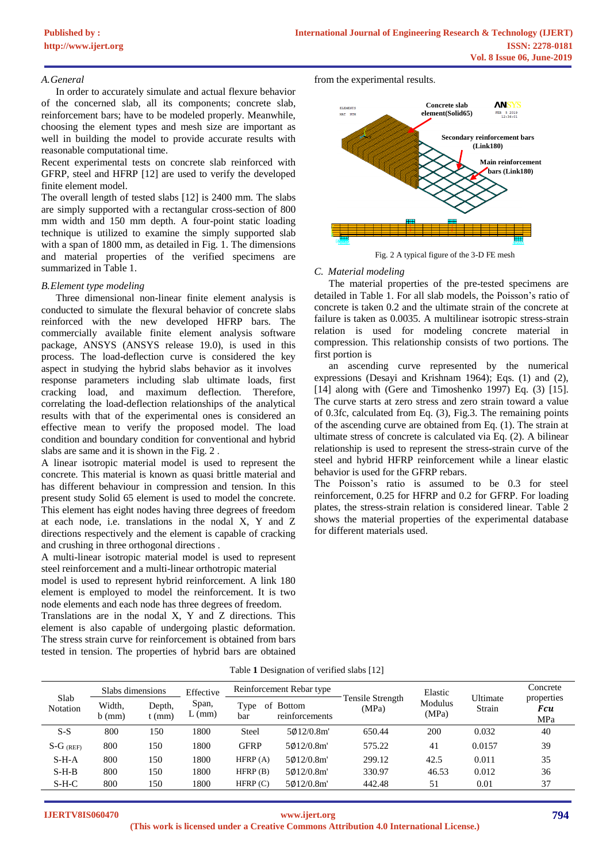## *A.General*

In order to accurately simulate and actual flexure behavior of the concerned slab, all its components; concrete slab, reinforcement bars; have to be modeled properly. Meanwhile, choosing the element types and mesh size are important as well in building the model to provide accurate results with reasonable computational time.

Recent experimental tests on concrete slab reinforced with GFRP, steel and HFRP [12] are used to verify the developed finite element model.

The overall length of tested slabs [12] is 2400 mm. The slabs are simply supported with a rectangular cross-section of 800 mm width and 150 mm depth. A four-point static loading technique is utilized to examine the simply supported slab with a span of 1800 mm, as detailed in Fig. 1. The dimensions and material properties of the verified specimens are summarized in Table 1.

#### *B.Element type modeling*

Three dimensional non-linear finite element analysis is conducted to simulate the flexural behavior of concrete slabs reinforced with the new developed HFRP bars. The commercially available finite element analysis software package, ANSYS (ANSYS release 19.0), is used in this process. The load-deflection curve is considered the key aspect in studying the hybrid slabs behavior as it involves response parameters including slab ultimate loads, first cracking load, and maximum deflection. Therefore, correlating the load-deflection relationships of the analytical results with that of the experimental ones is considered an effective mean to verify the proposed model. The load condition and boundary condition for conventional and hybrid slabs are same and it is shown in the Fig. 2 .

A linear isotropic material model is used to represent the concrete. This material is known as quasi brittle material and has different behaviour in compression and tension. In this present study Solid 65 element is used to model the concrete. This element has eight nodes having three degrees of freedom at each node, i.e. translations in the nodal X, Y and Z directions respectively and the element is capable of cracking and crushing in three orthogonal directions .

A multi-linear isotropic material model is used to represent steel reinforcement and a multi-linear orthotropic material

model is used to represent hybrid reinforcement. A link 180 element is employed to model the reinforcement. It is two node elements and each node has three degrees of freedom.

Translations are in the nodal X, Y and Z directions. This element is also capable of undergoing plastic deformation. The stress strain curve for reinforcement is obtained from bars tested in tension. The properties of hybrid bars are obtained from the experimental results.



Fig. 2 A typical figure of the 3-D FE mesh

### *C. Material modeling*

The material properties of the pre-tested specimens are detailed in Table 1. For all slab models, the Poisson's ratio of concrete is taken 0.2 and the ultimate strain of the concrete at failure is taken as 0.0035. A multilinear isotropic stress-strain relation is used for modeling concrete material in compression. This relationship consists of two portions. The first portion is

an ascending curve represented by the numerical expressions (Desayi and Krishnam 1964); Eqs. (1) and (2), [14] along with (Gere and Timoshenko 1997) Eq. (3) [15]. The curve starts at zero stress and zero strain toward a value of 0.3fc, calculated from Eq. (3), Fig.3. The remaining points of the ascending curve are obtained from Eq. (1). The strain at ultimate stress of concrete is calculated via Eq. (2). A bilinear relationship is used to represent the stress-strain curve of the steel and hybrid HFRP reinforcement while a linear elastic behavior is used for the GFRP rebars.

The Poisson's ratio is assumed to be 0.3 for steel reinforcement, 0.25 for HFRP and 0.2 for GFRP. For loading plates, the stress-strain relation is considered linear. Table 2 shows the material properties of the experimental database for different materials used.

Table **1** Designation of verified slabs [12]

| Slab<br>Notation | Slabs dimensions   |                    | Effective         | Reinforcement Rebar type                             |           |                           | Elastic          |                    | Concrete                        |
|------------------|--------------------|--------------------|-------------------|------------------------------------------------------|-----------|---------------------------|------------------|--------------------|---------------------------------|
|                  | Width,<br>$b$ (mm) | Depth,<br>$t$ (mm) | Span,<br>$L$ (mm) | Type<br><b>Bottom</b><br>οt<br>reinforcements<br>bar |           | Tensile Strength<br>(MPa) | Modulus<br>(MPa) | Ultimate<br>Strain | properties<br><b>Fcu</b><br>MPa |
| $S-S$            | 800                | 150                | 1800              | Steel                                                | 5012/0.8m | 650.44                    | 200              | 0.032              | 40                              |
| $S-G$ (REF)      | 800                | 150                | 1800              | GFRP                                                 | 5012/0.8m | 575.22                    | 41               | 0.0157             | 39                              |
| $S-H-A$          | 800                | 150                | 1800              | HFRP $(A)$                                           | 5012/0.8m | 299.12                    | 42.5             | 0.011              | 35                              |
| $S-H-B$          | 800                | 150                | 1800              | HFRP(B)                                              | 5012/0.8m | 330.97                    | 46.53            | 0.012              | 36                              |
| $S-H-C$          | 800                | 150                | 1800              | HFRP(C)                                              | 5012/0.8m | 442.48                    | 51               | 0.01               | 37                              |

**IJERTV8IS060470**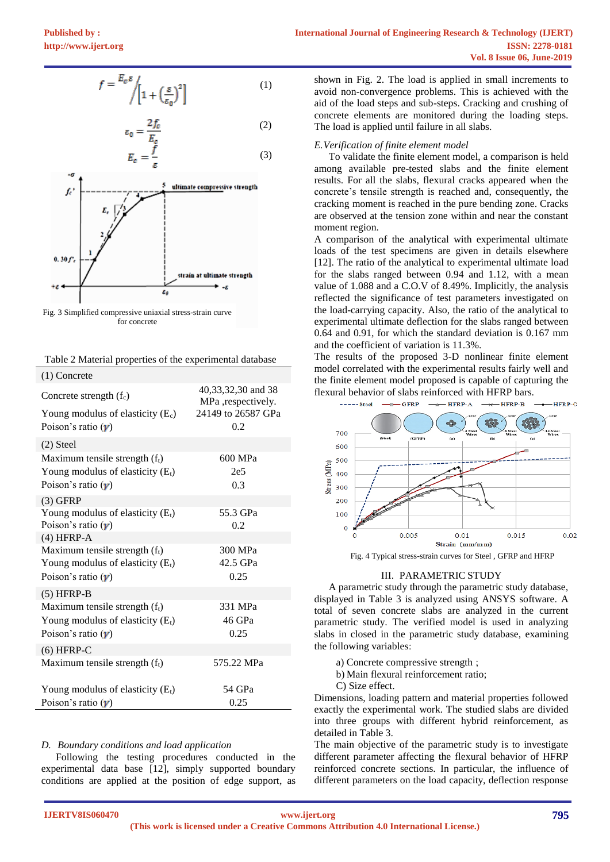$$
f = \frac{E_c \varepsilon}{\left[1 + \left(\frac{\varepsilon}{\varepsilon_0}\right)^2\right]}
$$
 (1)

$$
\varepsilon_0 = \frac{2f_c}{E_c} \tag{2}
$$

$$
E_c = \frac{f}{\varepsilon} \tag{3}
$$



Fig. 3 Simplified compressive uniaxial stress-strain curve for concrete

| Table 2 Material properties of the experimental database |  |  |  |
|----------------------------------------------------------|--|--|--|
|----------------------------------------------------------|--|--|--|

| $(1)$ Concrete                      |                                          |
|-------------------------------------|------------------------------------------|
| Concrete strength $(f_c)$           | 40,33,32,30 and 38<br>MPa ,respectively. |
| Young modulus of elasticity $(E_c)$ | 24149 to 26587 GPa                       |
| Poison's ratio $(y)$                | 0.2                                      |
| $(2)$ Steel                         |                                          |
| Maximum tensile strength $(f_t)$    | 600 MPa                                  |
| Young modulus of elasticity $(E_t)$ | 2e <sub>5</sub>                          |
| Poison's ratio $(y)$                | 0.3                                      |
| $(3)$ GFRP                          |                                          |
| Young modulus of elasticity $(E_t)$ | 55.3 GPa                                 |
| Poison's ratio $(y)$                | 0.2                                      |
| $(4) HFRP-A$                        |                                          |
| Maximum tensile strength $(f_t)$    | 300 MPa                                  |
| Young modulus of elasticity $(E_t)$ | 42.5 GPa                                 |
| Poison's ratio $(y)$                | 0.25                                     |
| $(5) HFRP-B$                        |                                          |
| Maximum tensile strength $(f_t)$    | 331 MPa                                  |
| Young modulus of elasticity $(E_t)$ | 46 GPa                                   |
| Poison's ratio $(y)$                | 0.25                                     |
| $(6)$ HFRP-C                        |                                          |
| Maximum tensile strength $(f_t)$    | 575.22 MPa                               |
|                                     |                                          |
| Young modulus of elasticity $(E_t)$ | 54 GPa                                   |
| Poison's ratio $(y)$                | 0.25                                     |

## *D. Boundary conditions and load application*

Following the testing procedures conducted in the experimental data base [12], simply supported boundary conditions are applied at the position of edge support, as shown in Fig. 2. The load is applied in small increments to avoid non-convergence problems. This is achieved with the aid of the load steps and sub-steps. Cracking and crushing of concrete elements are monitored during the loading steps. The load is applied until failure in all slabs.

# *E.Verification of finite element model*

To validate the finite element model, a comparison is held among available pre-tested slabs and the finite element results. For all the slabs, flexural cracks appeared when the concrete's tensile strength is reached and, consequently, the cracking moment is reached in the pure bending zone. Cracks are observed at the tension zone within and near the constant moment region.

A comparison of the analytical with experimental ultimate loads of the test specimens are given in details elsewhere [12]. The ratio of the analytical to experimental ultimate load for the slabs ranged between 0.94 and 1.12, with a mean value of 1.088 and a C.O.V of 8.49%. Implicitly, the analysis reflected the significance of test parameters investigated on the load-carrying capacity. Also, the ratio of the analytical to experimental ultimate deflection for the slabs ranged between 0.64 and 0.91, for which the standard deviation is 0.167 mm and the coefficient of variation is 11.3%.

The results of the proposed 3-D nonlinear finite element model correlated with the experimental results fairly well and the finite element model proposed is capable of capturing the flexural behavior of slabs reinforced with HFRP bars.



Fig. 4 Typical stress-strain curves for Steel , GFRP and HFRP

# III. PARAMETRIC STUDY

A parametric study through the parametric study database, displayed in Table 3 is analyzed using ANSYS software. A total of seven concrete slabs are analyzed in the current parametric study. The verified model is used in analyzing slabs in closed in the parametric study database, examining the following variables:

- a) Concrete compressive strength ;
- b) Main flexural reinforcement ratio;
- C) Size effect.

Dimensions, loading pattern and material properties followed exactly the experimental work. The studied slabs are divided into three groups with different hybrid reinforcement, as detailed in Table 3.

The main objective of the parametric study is to investigate different parameter affecting the flexural behavior of HFRP reinforced concrete sections. In particular, the influence of different parameters on the load capacity, deflection response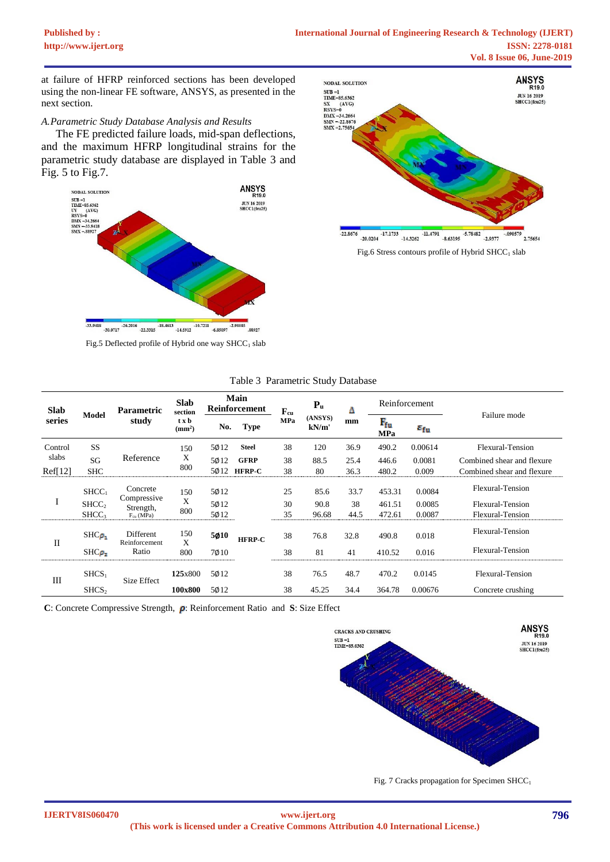at failure of HFRP reinforced sections has been developed using the non-linear FE software, ANSYS, as presented in the next section.

# *A.Parametric Study Database Analysis and Results*

The FE predicted failure loads, mid-span deflections, and the maximum HFRP longitudinal strains for the parametric study database are displayed in Table 3 and Fig. 5 to Fig.7.



Fig.5 Deflected profile of Hybrid one way  $SHCC<sub>1</sub>$  slab



| <b>Slab</b><br>series | <b>Model</b>      | <b>Parametric</b><br>study           | <b>Slab</b><br>section<br>t x b<br>(mm <sup>2</sup> ) | Main<br>Reinforcement |               | $\mathbf{F}_{\mathrm{cu}}$ | $P_{u}$          | Δ     | Reinforcement              |                        |                            |
|-----------------------|-------------------|--------------------------------------|-------------------------------------------------------|-----------------------|---------------|----------------------------|------------------|-------|----------------------------|------------------------|----------------------------|
|                       |                   |                                      |                                                       | No.                   | <b>Type</b>   | <b>MPa</b>                 | (ANSYS)<br>kN/m' | mm    | $F_{\rm fu}$<br><b>MPa</b> | $\varepsilon_{\rm fu}$ | Failure mode               |
| Control               | <b>SS</b>         |                                      | 150<br>X<br>800                                       | 5012                  | <b>Steel</b>  | 38                         | 120              | 36.9  | 490.2                      | 0.00614                | Flexural-Tension           |
| slabs                 | SG                | Reference                            |                                                       | 5012                  | <b>GFRP</b>   | 38                         | 88.5             | 25.4  | 446.6                      | 0.0081                 | Combined shear and flexure |
| Ref[12]               | <b>SHC</b>        |                                      |                                                       | 5012                  | <b>HFRP-C</b> | 38                         | 80               | 36.3  | 480.2                      | 0.009                  | Combined shear and flexure |
| $\mathbf{I}$          | SHCC <sub>1</sub> | Concrete<br>Compressive<br>Strength, | 150<br>X<br>800                                       | 5012                  |               | 25                         | 85.6             | 33.7  | 453.31                     | 0.0084                 | Flexural-Tension           |
|                       | SHCC <sub>2</sub> |                                      |                                                       | 5012                  |               | 30                         | 90.8             | 38    | 461.51                     | 0.0085                 | Flexural-Tension           |
|                       | SHCC <sub>3</sub> | $F_{cu}$ (MPa)                       |                                                       | 5012                  |               | 35                         | 96.68            | 44.5  | 472.61                     | 0.0087                 | Flexural-Tension           |
| $\mathbf{I}$          | $SHC_{\rho}$      | Different<br>Reinforcement           | 150<br>X                                              | 5010<br><b>HFRP-C</b> | 38            | 76.8                       | 32.8             | 490.8 | 0.018                      | Flexural-Tension       |                            |
|                       | $SHC_{\rho_2}$    | Ratio                                | 800                                                   | 7010                  |               | 38                         | 81               | 41    | 410.52                     | 0.016                  | Flexural-Tension           |
| Ш                     | SHCS <sub>1</sub> | <b>Size Effect</b>                   | 125x800                                               | 5012                  |               | 38                         | 76.5             | 48.7  | 470.2                      | 0.0145                 | Flexural-Tension           |
|                       | SHCS <sub>2</sub> |                                      | 100x800                                               | 5012                  |               | 38                         | 45.25            | 34.4  | 364.78                     | 0.00676                | Concrete crushing          |

**C**: Concrete Compressive Strength,  $\rho$ : Reinforcement Ratio and **S**: Size Effect



Fig. 7 Cracks propagation for Specimen SHCC<sub>1</sub>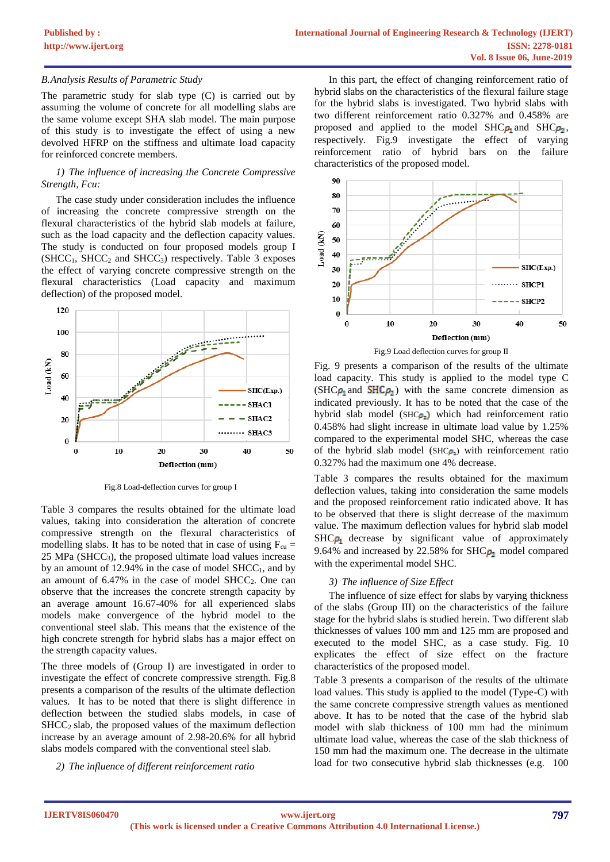# *B.Analysis Results of Parametric Study*

The parametric study for slab type (C) is carried out by assuming the volume of concrete for all modelling slabs are the same volume except SHA slab model. The main purpose of this study is to investigate the effect of using a new devolved HFRP on the stiffness and ultimate load capacity for reinforced concrete members.

# *1) The influence of increasing the Concrete Compressive Strength, Fcu:*

The case study under consideration includes the influence of increasing the concrete compressive strength on the flexural characteristics of the hybrid slab models at failure, such as the load capacity and the deflection capacity values. The study is conducted on four proposed models group I  $(SHCC<sub>1</sub>, SHCC<sub>2</sub> and SHCC<sub>3</sub>) respectively. Table 3 exposes$ the effect of varying concrete compressive strength on the flexural characteristics (Load capacity and maximum deflection) of the proposed model.



Fig.8 Load-deflection curves for group I

Table 3 compares the results obtained for the ultimate load values, taking into consideration the alteration of concrete compressive strength on the flexural characteristics of modelling slabs. It has to be noted that in case of using  $F_{\text{cu}} =$  $25$  MPa (SHCC<sub>3</sub>), the proposed ultimate load values increase by an amount of  $12.94\%$  in the case of model SHCC<sub>1</sub>, and by an amount of  $6.47\%$  in the case of model SHCC<sub>2</sub>. One can observe that the increases the concrete strength capacity by an average amount 16.67-40% for all experienced slabs models make convergence of the hybrid model to the conventional steel slab. This means that the existence of the high concrete strength for hybrid slabs has a major effect on the strength capacity values.

The three models of (Group I) are investigated in order to investigate the effect of concrete compressive strength. Fig.8 presents a comparison of the results of the ultimate deflection values. It has to be noted that there is slight difference in deflection between the studied slabs models, in case of  $SHCC<sub>2</sub>$  slab, the proposed values of the maximum deflection increase by an average amount of 2.98-20.6% for all hybrid slabs models compared with the conventional steel slab.

# *2) The influence of different reinforcement ratio*

In this part, the effect of changing reinforcement ratio of hybrid slabs on the characteristics of the flexural failure stage for the hybrid slabs is investigated. Two hybrid slabs with two different reinforcement ratio 0.327% and 0.458% are proposed and applied to the model  $SHC_{\rho_1}$  and  $SHC_{\rho_2}$ , respectively. Fig.9 investigate the effect of varying reinforcement ratio of hybrid bars on the failure characteristics of the proposed model.



Fig. 9 presents a comparison of the results of the ultimate load capacity. This study is applied to the model type C  $(SHC_{P_1}$  and  $SHC_{P_2}$ ) with the same concrete dimension as indicated previously. It has to be noted that the case of the hybrid slab model (SHC $\rho_2$ ) which had reinforcement ratio 0.458% had slight increase in ultimate load value by 1.25% compared to the experimental model SHC, whereas the case of the hybrid slab model (SHC $\rho_1$ ) with reinforcement ratio 0.327% had the maximum one 4% decrease.

Table 3 compares the results obtained for the maximum deflection values, taking into consideration the same models and the proposed reinforcement ratio indicated above. It has to be observed that there is slight decrease of the maximum value. The maximum deflection values for hybrid slab model  $SHC_{\rho_1}$  decrease by significant value of approximately 9.64% and increased by 22.58% for  $SHC_{p_2}$  model compared with the experimental model SHC.

## *3) The influence of Size Effect*

The influence of size effect for slabs by varying thickness of the slabs (Group III) on the characteristics of the failure stage for the hybrid slabs is studied herein. Two different slab thicknesses of values 100 mm and 125 mm are proposed and executed to the model SHC, as a case study. Fig. 10 explicates the effect of size effect on the fracture characteristics of the proposed model.

Table 3 presents a comparison of the results of the ultimate load values. This study is applied to the model (Type-C) with the same concrete compressive strength values as mentioned above. It has to be noted that the case of the hybrid slab model with slab thickness of 100 mm had the minimum ultimate load value, whereas the case of the slab thickness of 150 mm had the maximum one. The decrease in the ultimate load for two consecutive hybrid slab thicknesses (e.g. 100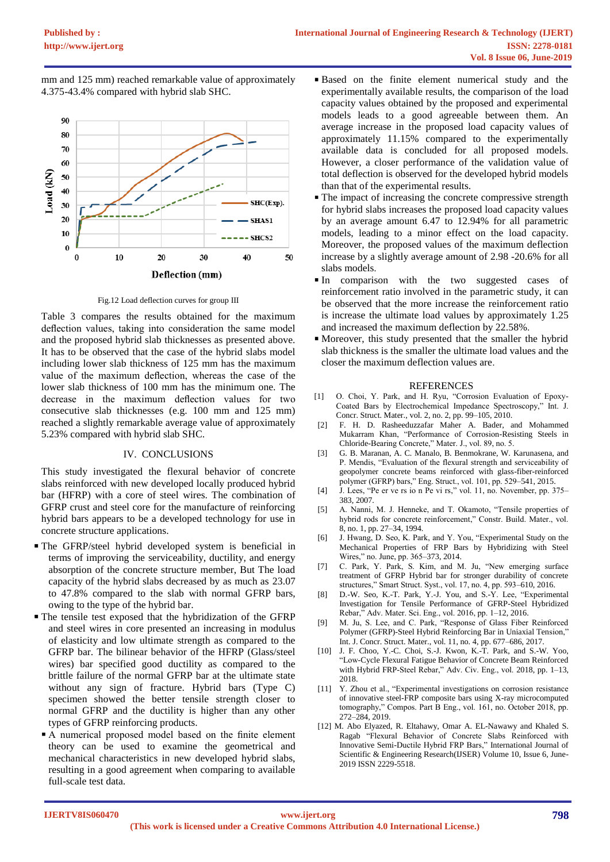mm and 125 mm) reached remarkable value of approximately 4.375-43.4% compared with hybrid slab SHC.



Fig.12 Load deflection curves for group III

Table 3 compares the results obtained for the maximum deflection values, taking into consideration the same model and the proposed hybrid slab thicknesses as presented above. It has to be observed that the case of the hybrid slabs model including lower slab thickness of 125 mm has the maximum value of the maximum deflection, whereas the case of the lower slab thickness of 100 mm has the minimum one. The decrease in the maximum deflection values for two consecutive slab thicknesses (e.g. 100 mm and 125 mm) reached a slightly remarkable average value of approximately 5.23% compared with hybrid slab SHC.

## IV. CONCLUSIONS

This study investigated the flexural behavior of concrete slabs reinforced with new developed locally produced hybrid bar (HFRP) with a core of steel wires. The combination of GFRP crust and steel core for the manufacture of reinforcing hybrid bars appears to be a developed technology for use in concrete structure applications.

- The GFRP/steel hybrid developed system is beneficial in terms of improving the serviceability, ductility, and energy absorption of the concrete structure member, But The load capacity of the hybrid slabs decreased by as much as 23.07 to 47.8% compared to the slab with normal GFRP bars, owing to the type of the hybrid bar.
- The tensile test exposed that the hybridization of the GFRP and steel wires in core presented an increasing in modulus of elasticity and low ultimate strength as compared to the GFRP bar. The bilinear behavior of the HFRP (Glass/steel wires) bar specified good ductility as compared to the brittle failure of the normal GFRP bar at the ultimate state without any sign of fracture. Hybrid bars (Type C) specimen showed the better tensile strength closer to normal GFRP and the ductility is higher than any other types of GFRP reinforcing products.
- A numerical proposed model based on the finite element theory can be used to examine the geometrical and mechanical characteristics in new developed hybrid slabs, resulting in a good agreement when comparing to available full-scale test data.
- Based on the finite element numerical study and the experimentally available results, the comparison of the load capacity values obtained by the proposed and experimental models leads to a good agreeable between them. An average increase in the proposed load capacity values of approximately 11.15% compared to the experimentally available data is concluded for all proposed models. However, a closer performance of the validation value of total deflection is observed for the developed hybrid models than that of the experimental results.
- The impact of increasing the concrete compressive strength for hybrid slabs increases the proposed load capacity values by an average amount 6.47 to 12.94% for all parametric models, leading to a minor effect on the load capacity. Moreover, the proposed values of the maximum deflection increase by a slightly average amount of 2.98 -20.6% for all slabs models.
- In comparison with the two suggested cases of reinforcement ratio involved in the parametric study, it can be observed that the more increase the reinforcement ratio is increase the ultimate load values by approximately 1.25 and increased the maximum deflection by 22.58%.
- Moreover, this study presented that the smaller the hybrid slab thickness is the smaller the ultimate load values and the closer the maximum deflection values are.

## **REFERENCES**

- [1] O. Choi, Y. Park, and H. Ryu, "Corrosion Evaluation of Epoxy-Coated Bars by Electrochemical Impedance Spectroscopy," Int. J. Concr. Struct. Mater., vol. 2, no. 2, pp. 99–105, 2010.
- [2] F. H. D. Rasheeduzzafar Maher A. Bader, and Mohammed Mukarram Khan, "Performance of Corrosion-Resisting Steels in Chloride-Bearing Concrete," Mater. J., vol. 89, no. 5.
- [3] G. B. Maranan, A. C. Manalo, B. Benmokrane, W. Karunasena, and P. Mendis, "Evaluation of the flexural strength and serviceability of geopolymer concrete beams reinforced with glass-fiber-reinforced polymer (GFRP) bars," Eng. Struct., vol. 101, pp. 529–541, 2015.
- [4] J. Lees, "Pe er ve rs io n Pe vi rs," vol. 11, no. November, pp. 375– 383, 2007.
- [5] A. Nanni, M. J. Henneke, and T. Okamoto, "Tensile properties of hybrid rods for concrete reinforcement," Constr. Build. Mater., vol. 8, no. 1, pp. 27–34, 1994.
- [6] J. Hwang, D. Seo, K. Park, and Y. You, "Experimental Study on the Mechanical Properties of FRP Bars by Hybridizing with Steel Wires," no. June, pp. 365–373, 2014.
- [7] C. Park, Y. Park, S. Kim, and M. Ju, "New emerging surface treatment of GFRP Hybrid bar for stronger durability of concrete structures," Smart Struct. Syst., vol. 17, no. 4, pp. 593–610, 2016.
- [8] D.-W. Seo, K.-T. Park, Y.-J. You, and S.-Y. Lee, "Experimental Investigation for Tensile Performance of GFRP-Steel Hybridized Rebar," Adv. Mater. Sci. Eng., vol. 2016, pp. 1–12, 2016.
- [9] M. Ju, S. Lee, and C. Park, "Response of Glass Fiber Reinforced Polymer (GFRP)-Steel Hybrid Reinforcing Bar in Uniaxial Tension," Int. J. Concr. Struct. Mater., vol. 11, no. 4, pp. 677–686, 2017.
- [10] J. F. Choo, Y.-C. Choi, S.-J. Kwon, K.-T. Park, and S.-W. Yoo, "Low-Cycle Flexural Fatigue Behavior of Concrete Beam Reinforced with Hybrid FRP-Steel Rebar," Adv. Civ. Eng., vol. 2018, pp. 1–13, 2018.
- [11] Y. Zhou et al., "Experimental investigations on corrosion resistance of innovative steel-FRP composite bars using X-ray microcomputed tomography," Compos. Part B Eng., vol. 161, no. October 2018, pp. 272–284, 2019.
- [12] M. Abo Elyazed, R. Eltahawy, Omar A. EL-Nawawy and Khaled S. Ragab "Flexural Behavior of Concrete Slabs Reinforced with Innovative Semi-Ductile Hybrid FRP Bars," International Journal of Scientific & Engineering Research(IJSER) Volume 10, Issue 6, June-2019 ISSN 2229-5518.